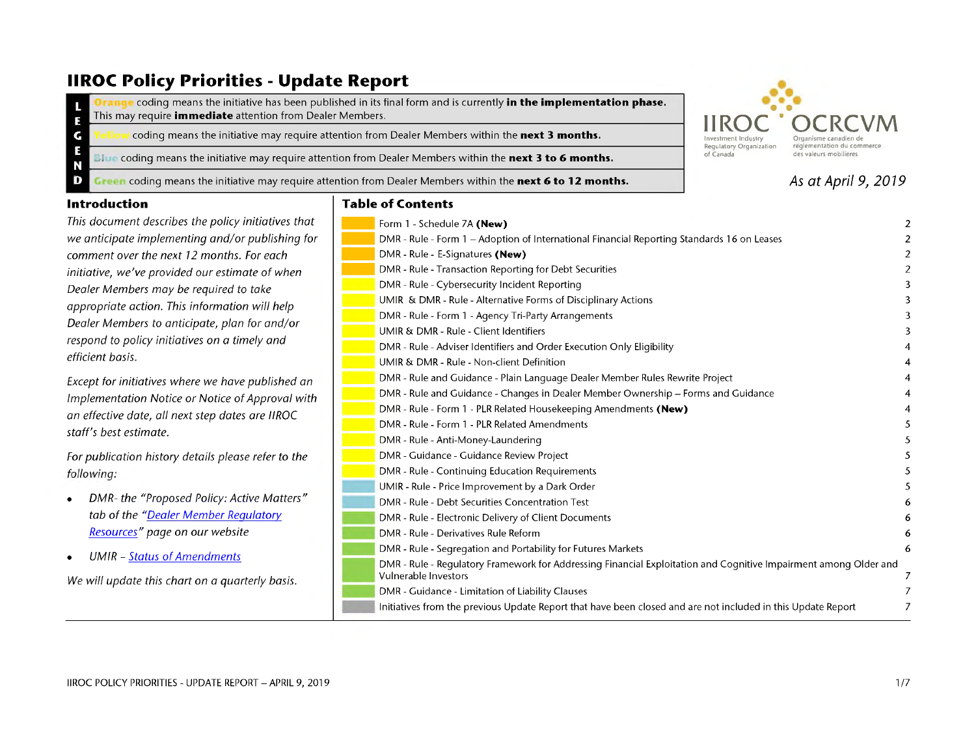## **IIROC Policy Priorities - Update Report**

coding means the initiative has been published in its final form and is currently **in the implementation phase.** This may require *immediate* attention from Dealer Members. E

coding means the initiative may require attention from Dealer Members within the **next 3 months.**

**Bl** coding means the initiative may require attention from Dealer Members within the **next 3 to 6 months.**

Green coding means the initiative may require attention from Dealer Members within the next 6 to 12 months.



## 4s *at April 9, 2019*

#### **Introduction**

G F N D

*This document describes the policy initiatives that we anticipate implementing and/or publishing for comment over the next 12 months. For each initiative, we've provided our estimate of when Dealer Members may be required to take appropriate action. This information will help Dealer Members to anticipate, plan for and/or respond to policy initiatives on a timely and efficient basis.*

*Except for initiatives where we have published an Implementation Notice or Notice of Approval with an effective date, all next step dates are IIROC staff's best estimate.*

*For publication history details please refer to the* following:

- *• DMR- the "Proposed Policy: Active Matters" tab of the ["Dealer Member Regulatory](http://www.iiroc.ca/Rulebook/Pages/default.aspx) [Resources"](http://www.iiroc.ca/Rulebook/Pages/default.aspx) page on our website*
- *• UMIR - [Status of Amendments](http://www.iiroc.ca/industry/rulebook/Documents/UMIR_SA_en.pdf)*

*We will update this chart on a quarterly basis.*

| Table of Contents |  |  |  |
|-------------------|--|--|--|
|-------------------|--|--|--|

| Form 1 - Schedule 7A (New)                                                                                                               | 2 |
|------------------------------------------------------------------------------------------------------------------------------------------|---|
| DMR - Rule - Form 1 - Adoption of International Financial Reporting Standards 16 on Leases                                               | 2 |
| DMR - Rule - E-Signatures (New)                                                                                                          | 2 |
| DMR - Rule - Transaction Reporting for Debt Securities                                                                                   | 2 |
| DMR - Rule - Cybersecurity Incident Reporting                                                                                            | 3 |
| UMIR & DMR - Rule - Alternative Forms of Disciplinary Actions                                                                            | 3 |
| DMR - Rule - Form 1 - Agency Tri-Party Arrangements                                                                                      | 3 |
| UMIR & DMR - Rule - Client Identifiers                                                                                                   | 3 |
| DMR - Rule - Adviser Identifiers and Order Execution Only Eligibility                                                                    |   |
| UMIR & DMR - Rule - Non-client Definition                                                                                                | 4 |
| DMR - Rule and Guidance - Plain Language Dealer Member Rules Rewrite Project                                                             | 4 |
| DMR - Rule and Guidance - Changes in Dealer Member Ownership - Forms and Guidance                                                        | 4 |
| DMR - Rule - Form 1 - PLR Related Housekeeping Amendments (New)                                                                          | 4 |
| DMR - Rule - Form 1 - PLR Related Amendments                                                                                             | 5 |
| DMR - Rule - Anti-Money-Laundering                                                                                                       | 5 |
| DMR - Guidance - Guidance Review Project                                                                                                 | 5 |
| DMR - Rule - Continuing Education Requirements                                                                                           |   |
| UMIR - Rule - Price Improvement by a Dark Order                                                                                          | 5 |
| DMR - Rule - Debt Securities Concentration Test                                                                                          | 6 |
| DMR - Rule - Electronic Delivery of Client Documents                                                                                     | 6 |
| DMR - Rule - Derivatives Rule Reform                                                                                                     | 6 |
| DMR - Rule - Segregation and Portability for Futures Markets                                                                             | 6 |
| DMR - Rule - Regulatory Framework for Addressing Financial Exploitation and Cognitive Impairment among Older and<br>Vulnerable Investors | 7 |
| DMR - Guidance - Limitation of Liability Clauses                                                                                         |   |
| Initiatives from the previous Update Report that have been closed and are not included in this Update Report                             |   |
|                                                                                                                                          |   |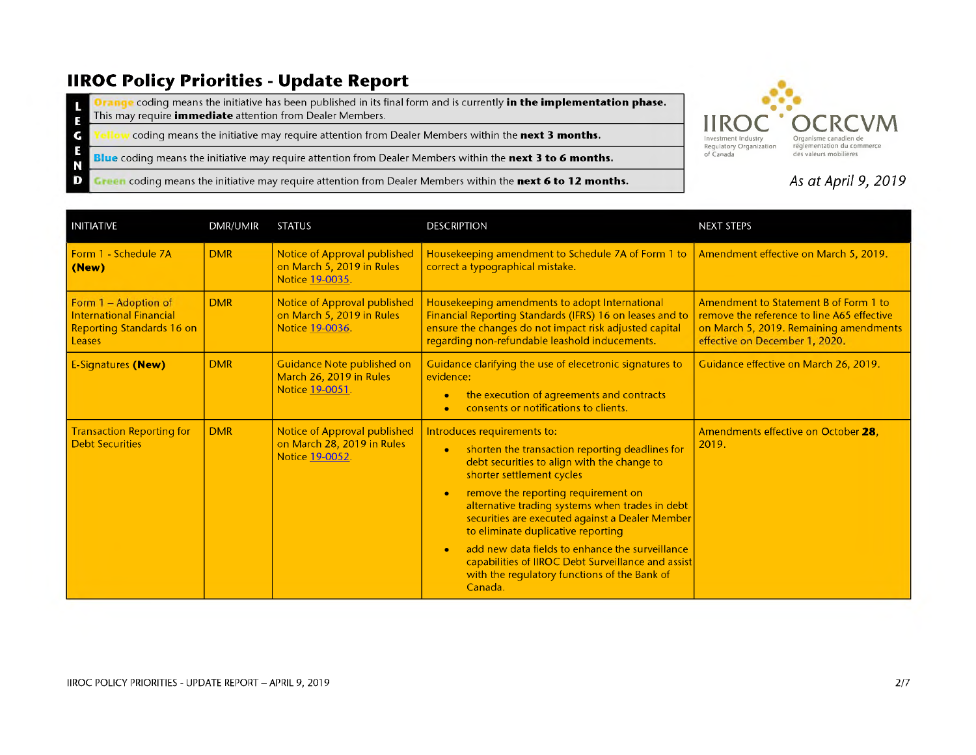# **IIROC Policy Priorities - Update Report**

E N D

**Orange** coding means the initiative has been published in its final form and is currently **in the implementation phase.** L This may require *immediate* attention from Dealer Members. E

G coding means the initiative may require attention from Dealer Members within the **next 3 months.**

**Blue** coding means the initiative may require attention from Dealer Members within the **next 3 to 6 months.**

**Green** coding means the initiative may require attention from Dealer Members within the next 6 to 12 months.



### 4s *at April 9, 2019*

| <b>INITIATIVE</b>                                                                             | <b>DMR/UMIR</b> | <b>STATUS</b>                                                                 | <b>DESCRIPTION</b>                                                                                                                                                                                                                                                                                                                                                                                                                                                                                                                  | <b>NEXT STEPS</b>                                                                                                                                               |
|-----------------------------------------------------------------------------------------------|-----------------|-------------------------------------------------------------------------------|-------------------------------------------------------------------------------------------------------------------------------------------------------------------------------------------------------------------------------------------------------------------------------------------------------------------------------------------------------------------------------------------------------------------------------------------------------------------------------------------------------------------------------------|-----------------------------------------------------------------------------------------------------------------------------------------------------------------|
| Form 1 - Schedule 7A<br>(New)                                                                 | <b>DMR</b>      | Notice of Approval published<br>on March 5, 2019 in Rules<br>Notice 19-0035.  | Housekeeping amendment to Schedule 7A of Form 1 to<br>correct a typographical mistake.                                                                                                                                                                                                                                                                                                                                                                                                                                              | Amendment effective on March 5, 2019.                                                                                                                           |
| Form 1 - Adoption of<br><b>International Financial</b><br>Reporting Standards 16 on<br>Leases | <b>DMR</b>      | Notice of Approval published<br>on March 5, 2019 in Rules<br>Notice 19-0036.  | Housekeeping amendments to adopt International<br>Financial Reporting Standards (IFRS) 16 on leases and to<br>ensure the changes do not impact risk adjusted capital<br>regarding non-refundable leashold inducements.                                                                                                                                                                                                                                                                                                              | Amendment to Statement B of Form 1 to<br>remove the reference to line A65 effective<br>on March 5, 2019. Remaining amendments<br>effective on December 1, 2020. |
| <b>E-Signatures (New)</b>                                                                     | <b>DMR</b>      | Guidance Note published on<br>March 26, 2019 in Rules<br>Notice 19-0051.      | Guidance clarifying the use of elecetronic signatures to<br>evidence:<br>the execution of agreements and contracts<br>consents or notifications to clients.                                                                                                                                                                                                                                                                                                                                                                         | Guidance effective on March 26, 2019.                                                                                                                           |
| <b>Transaction Reporting for</b><br><b>Debt Securities</b>                                    | <b>DMR</b>      | Notice of Approval published<br>on March 28, 2019 in Rules<br>Notice 19-0052. | Introduces requirements to:<br>shorten the transaction reporting deadlines for<br>$\bullet$<br>debt securities to align with the change to<br>shorter settlement cycles<br>remove the reporting requirement on<br>×<br>alternative trading systems when trades in debt<br>securities are executed against a Dealer Member<br>to eliminate duplicative reporting<br>add new data fields to enhance the surveillance<br>capabilities of IIROC Debt Surveillance and assist<br>with the regulatory functions of the Bank of<br>Canada. | Amendments effective on October 28.<br>2019.                                                                                                                    |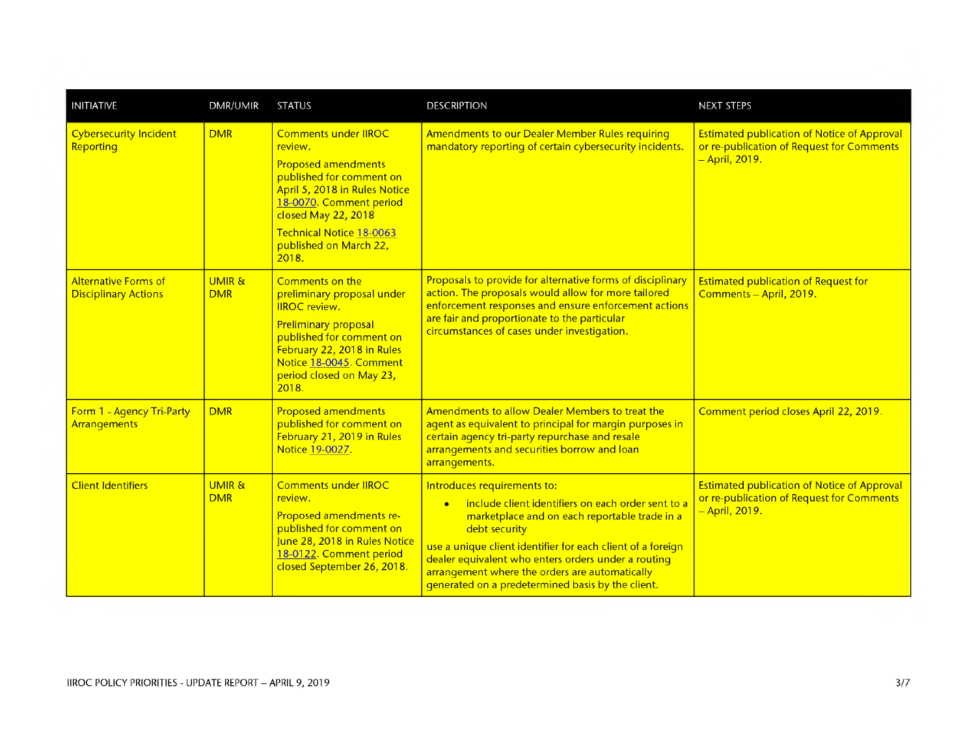| <b>INITIATIVE</b>                                          | <b>DMR/UMIR</b>                 | <b>STATUS</b>                                                                                                                                                                                                                                      | <b>DESCRIPTION</b>                                                                                                                                                                                                                                                                                                                                                               | <b>NEXT STEPS</b>                                                                                                              |
|------------------------------------------------------------|---------------------------------|----------------------------------------------------------------------------------------------------------------------------------------------------------------------------------------------------------------------------------------------------|----------------------------------------------------------------------------------------------------------------------------------------------------------------------------------------------------------------------------------------------------------------------------------------------------------------------------------------------------------------------------------|--------------------------------------------------------------------------------------------------------------------------------|
| <b>Cybersecurity Incident</b><br>Reporting                 | <b>DMR</b>                      | <b>Comments under IIROC</b><br>review.<br><b>Proposed amendments</b><br>published for comment on<br>April 5, 2018 in Rules Notice<br>18-0070. Comment period<br>closed May 22, 2018<br>Technical Notice 18-0063<br>published on March 22,<br>2018. | Amendments to our Dealer Member Rules requiring<br>mandatory reporting of certain cybersecurity incidents.                                                                                                                                                                                                                                                                       | <b>Estimated publication of Notice of Approval</b><br>or re-publication of Request for Comments<br><mark>– April, 2019.</mark> |
| <b>Alternative Forms of</b><br><b>Disciplinary Actions</b> | UMIR &<br><b>DMR</b>            | Comments on the<br>preliminary proposal under<br><b>IIROC</b> review.<br><b>Preliminary proposal</b><br>published for comment on<br>February 22, 2018 in Rules<br>Notice 18-0045. Comment<br>period closed on May 23,<br>2018.                     | Proposals to provide for alternative forms of disciplinary<br>action. The proposals would allow for more tailored<br>enforcement responses and ensure enforcement actions<br>are fair and proportionate to the particular<br>circumstances of cases under investigation.                                                                                                         | <b>Estimated publication of Request for</b><br>Comments - April, 2019.                                                         |
| Form 1 - Agency Tri-Party<br>Arrangements                  | <b>DMR</b>                      | <b>Proposed amendments</b><br>published for comment on<br>February 21, 2019 in Rules<br>Notice 19-0027.                                                                                                                                            | Amendments to allow Dealer Members to treat the<br>agent as equivalent to principal for margin purposes in<br>certain agency tri-party repurchase and resale<br>arrangements and securities borrow and loan<br>arrangements.                                                                                                                                                     | Comment period closes April 22, 2019.                                                                                          |
| <b>Client Identifiers</b>                                  | <b>UMIR &amp;</b><br><b>DMR</b> | <b>Comments under IIROC</b><br>review.<br>Proposed amendments re-<br>published for comment on<br>June 28, 2018 in Rules Notice<br>18-0122. Comment period<br>closed September 26, 2018.                                                            | Introduces requirements to:<br>include client identifiers on each order sent to a<br>marketplace and on each reportable trade in a<br>debt security<br>use a unique client identifier for each client of a foreign<br>dealer equivalent who enters orders under a routing<br>arrangement where the orders are automatically<br>generated on a predetermined basis by the client. | <b>Estimated publication of Notice of Approval</b><br>or re-publication of Request for Comments<br><mark>– April, 2019.</mark> |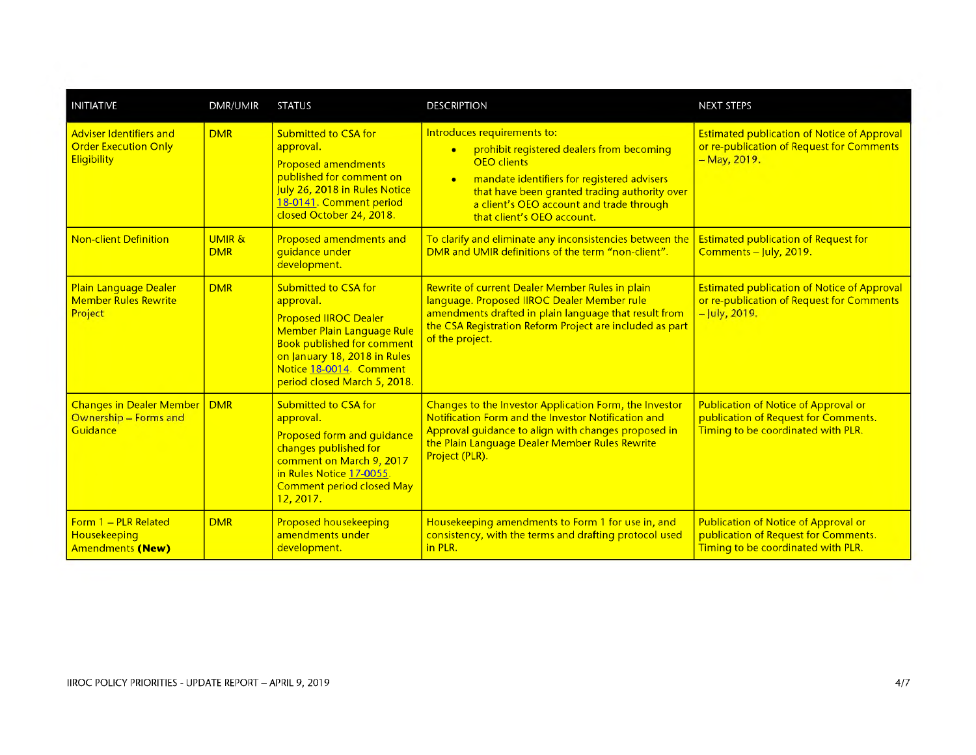| <b>INITIATIVE</b>                                                                   | <b>DMR/UMIR</b>                 | <b>STATUS</b>                                                                                                                                                                                                                          | <b>DESCRIPTION</b>                                                                                                                                                                                                                                                                                 | <b>NEXT STEPS</b>                                                                                                         |
|-------------------------------------------------------------------------------------|---------------------------------|----------------------------------------------------------------------------------------------------------------------------------------------------------------------------------------------------------------------------------------|----------------------------------------------------------------------------------------------------------------------------------------------------------------------------------------------------------------------------------------------------------------------------------------------------|---------------------------------------------------------------------------------------------------------------------------|
| <b>Adviser Identifiers and</b><br><b>Order Execution Only</b><br><b>Eligibility</b> | <b>DMR</b>                      | <b>Submitted to CSA for</b><br>approval.<br><b>Proposed amendments</b><br>published for comment on<br>July 26, 2018 in Rules Notice<br>18-0141. Comment period<br>closed October 24, 2018.                                             | Introduces requirements to:<br>prohibit registered dealers from becoming<br>$\bullet$<br><b>OEO</b> clients<br>mandate identifiers for registered advisers<br>$\bullet$<br>that have been granted trading authority over<br>a client's OEO account and trade through<br>that client's OEO account. | <b>Estimated publication of Notice of Approval</b><br>or re-publication of Request for Comments<br>- May, 2019.           |
| <b>Non-client Definition</b>                                                        | <b>UMIR &amp;</b><br><b>DMR</b> | Proposed amendments and<br>guidance under<br>development.                                                                                                                                                                              | To clarify and eliminate any inconsistencies between the<br>DMR and UMIR definitions of the term "non-client".                                                                                                                                                                                     | <b>Estimated publication of Request for</b><br>Comments - July, 2019.                                                     |
| Plain Language Dealer<br><b>Member Rules Rewrite</b><br>Project                     | <b>DMR</b>                      | <b>Submitted to CSA for</b><br>approval.<br><b>Proposed IIROC Dealer</b><br>Member Plain Language Rule<br><b>Book published for comment</b><br>on January 18, 2018 in Rules<br>Notice 18-0014. Comment<br>period closed March 5, 2018. | Rewrite of current Dealer Member Rules in plain<br>language. Proposed IIROC Dealer Member rule<br>amendments drafted in plain language that result from<br>the CSA Registration Reform Project are included as part<br>of the project.                                                             | <b>Estimated publication of Notice of Approval</b><br>or re-publication of Request for Comments<br>- July, 2019.          |
| <b>Changes in Dealer Member</b><br>Ownership - Forms and<br>Guidance                | <b>DMR</b>                      | <b>Submitted to CSA for</b><br>approval.<br>Proposed form and guidance<br>changes published for<br>comment on March 9, 2017<br>in Rules Notice 17-0055.<br><b>Comment period closed May</b><br>12, 2017.                               | Changes to the Investor Application Form, the Investor<br>Notification Form and the Investor Notification and<br>Approval guidance to align with changes proposed in<br>the Plain Language Dealer Member Rules Rewrite<br>Project (PLR).                                                           | <b>Publication of Notice of Approval or</b><br>publication of Request for Comments.<br>Timing to be coordinated with PLR. |
| Form 1 - PLR Related<br>Housekeeping<br>Amendments (New)                            | <b>DMR</b>                      | <b>Proposed housekeeping</b><br>amendments under<br>development.                                                                                                                                                                       | Housekeeping amendments to Form 1 for use in, and<br>consistency, with the terms and drafting protocol used<br>in PLR.                                                                                                                                                                             | Publication of Notice of Approval or<br>publication of Request for Comments.<br>Timing to be coordinated with PLR.        |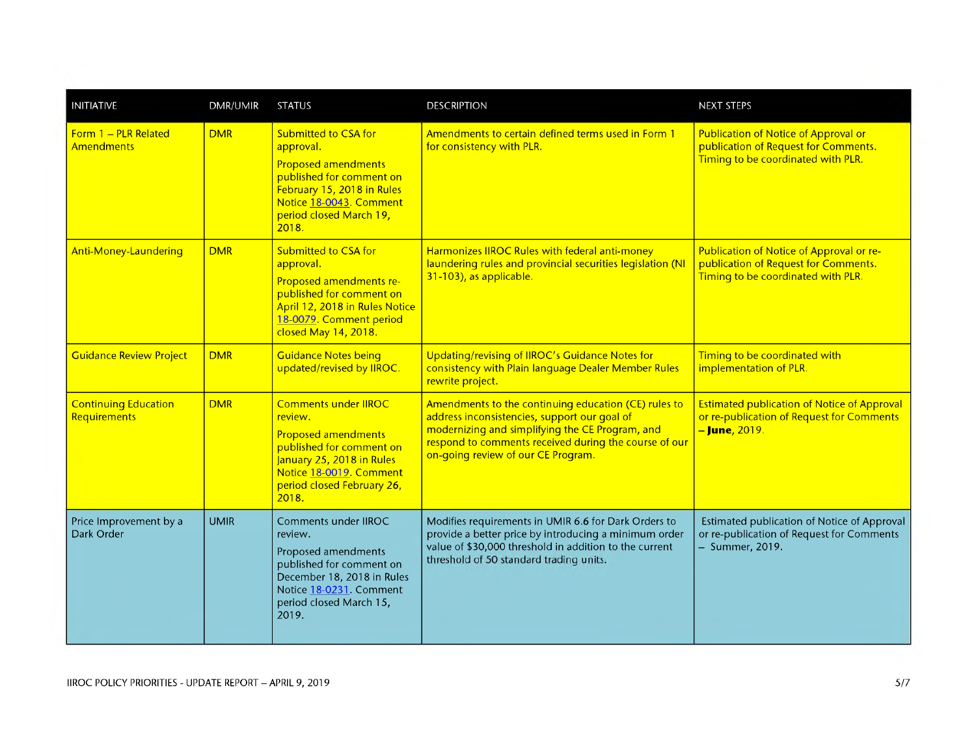| <b>INITIATIVE</b>                           | <b>DMR/UMIR</b> | <b>STATUS</b>                                                                                                                                                                                   | <b>DESCRIPTION</b>                                                                                                                                                                                                                                     | <b>NEXT STEPS</b>                                                                                                         |
|---------------------------------------------|-----------------|-------------------------------------------------------------------------------------------------------------------------------------------------------------------------------------------------|--------------------------------------------------------------------------------------------------------------------------------------------------------------------------------------------------------------------------------------------------------|---------------------------------------------------------------------------------------------------------------------------|
| Form 1 - PLR Related<br><b>Amendments</b>   | <b>DMR</b>      | <b>Submitted to CSA for</b><br>approval.<br><b>Proposed amendments</b><br>published for comment on<br>February 15, 2018 in Rules<br>Notice 18-0043. Comment<br>period closed March 19,<br>2018. | Amendments to certain defined terms used in Form 1<br>for consistency with PLR.                                                                                                                                                                        | <b>Publication of Notice of Approval or</b><br>publication of Request for Comments.<br>Timing to be coordinated with PLR. |
| Anti-Money-Laundering                       | <b>DMR</b>      | Submitted to CSA for<br>approval.<br>Proposed amendments re-<br>published for comment on<br>April 12, 2018 in Rules Notice<br>18-0079. Comment period<br>closed May 14, 2018.                   | Harmonizes IIROC Rules with federal anti-money<br>laundering rules and provincial securities legislation (NI<br>31-103), as applicable.                                                                                                                | Publication of Notice of Approval or re-<br>publication of Request for Comments.<br>Timing to be coordinated with PLR.    |
| <b>Guidance Review Project</b>              | <b>DMR</b>      | <b>Guidance Notes being</b><br>updated/revised by IIROC.                                                                                                                                        | Updating/revising of IIROC's Guidance Notes for<br>consistency with Plain language Dealer Member Rules<br>rewrite project.                                                                                                                             | Timing to be coordinated with<br>implementation of PLR.                                                                   |
| <b>Continuing Education</b><br>Requirements | <b>DMR</b>      | <b>Comments under IIROC</b><br>review.<br><b>Proposed amendments</b><br>published for comment on<br>January 25, 2018 in Rules<br>Notice 18-0019. Comment<br>period closed February 26,<br>2018. | Amendments to the continuing education (CE) rules to<br>address inconsistencies, support our goal of<br>modernizing and simplifying the CE Program, and<br>respond to comments received during the course of our<br>on-going review of our CE Program. | <b>Estimated publication of Notice of Approval</b><br>or re-publication of Request for Comments<br>- June, 2019.          |
| Price Improvement by a<br>Dark Order        | <b>UMIR</b>     | Comments under IIROC<br>review.<br>Proposed amendments<br>published for comment on<br>December 18, 2018 in Rules<br>Notice 18-0231. Comment<br>period closed March 15,<br>2019.                 | Modifies requirements in UMIR 6.6 for Dark Orders to<br>provide a better price by introducing a minimum order<br>value of \$30,000 threshold in addition to the current<br>threshold of 50 standard trading units.                                     | Estimated publication of Notice of Approval<br>or re-publication of Request for Comments<br>- Summer, 2019.               |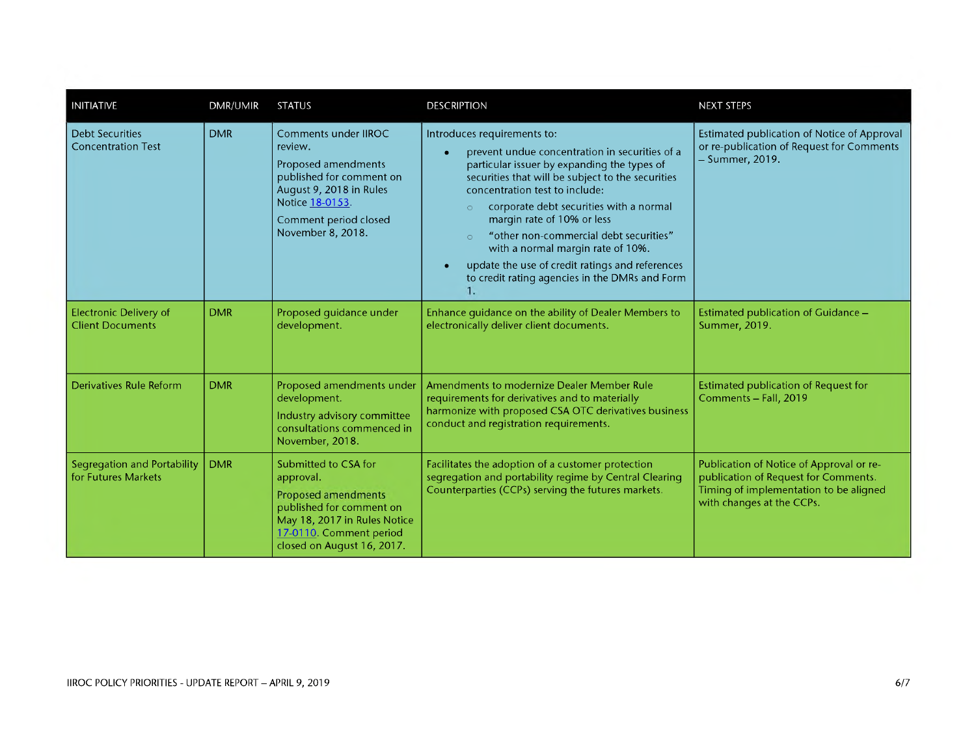| <b>INITIATIVE</b>                                        | <b>DMR/UMIR</b> | <b>STATUS</b>                                                                                                                                                                  | <b>DESCRIPTION</b>                                                                                                                                                                                                                                                                                                                                                                                                                                                                                          | <b>NEXT STEPS</b>                                                                                                                                       |
|----------------------------------------------------------|-----------------|--------------------------------------------------------------------------------------------------------------------------------------------------------------------------------|-------------------------------------------------------------------------------------------------------------------------------------------------------------------------------------------------------------------------------------------------------------------------------------------------------------------------------------------------------------------------------------------------------------------------------------------------------------------------------------------------------------|---------------------------------------------------------------------------------------------------------------------------------------------------------|
| <b>Debt Securities</b><br><b>Concentration Test</b>      | <b>DMR</b>      | Comments under IIROC<br>review.<br>Proposed amendments<br>published for comment on<br>August 9, 2018 in Rules<br>Notice 18-0153.<br>Comment period closed<br>November 8, 2018. | Introduces requirements to:<br>prevent undue concentration in securities of a<br>particular issuer by expanding the types of<br>securities that will be subject to the securities<br>concentration test to include:<br>corporate debt securities with a normal<br>$\circ$<br>margin rate of 10% or less<br>"other non-commercial debt securities"<br>$\circ$<br>with a normal margin rate of 10%.<br>update the use of credit ratings and references<br>×<br>to credit rating agencies in the DMRs and Form | Estimated publication of Notice of Approval<br>or re-publication of Request for Comments<br>- Summer, 2019.                                             |
| <b>Electronic Delivery of</b><br><b>Client Documents</b> | <b>DMR</b>      | Proposed quidance under<br>development.                                                                                                                                        | Enhance guidance on the ability of Dealer Members to<br>electronically deliver client documents.                                                                                                                                                                                                                                                                                                                                                                                                            | Estimated publication of Guidance -<br>Summer, 2019.                                                                                                    |
| Derivatives Rule Reform                                  | <b>DMR</b>      | Proposed amendments under<br>development.<br>Industry advisory committee<br>consultations commenced in<br>November, 2018.                                                      | Amendments to modernize Dealer Member Rule<br>requirements for derivatives and to materially<br>harmonize with proposed CSA OTC derivatives business<br>conduct and registration requirements.                                                                                                                                                                                                                                                                                                              | Estimated publication of Request for<br>Comments - Fall, 2019                                                                                           |
| Segregation and Portability<br>for Futures Markets       | <b>DMR</b>      | Submitted to CSA for<br>approval.<br>Proposed amendments<br>published for comment on<br>May 18, 2017 in Rules Notice<br>17-0110. Comment period<br>closed on August 16, 2017.  | Facilitates the adoption of a customer protection<br>segregation and portability regime by Central Clearing<br>Counterparties (CCPs) serving the futures markets.                                                                                                                                                                                                                                                                                                                                           | Publication of Notice of Approval or re-<br>publication of Request for Comments.<br>Timing of implementation to be aligned<br>with changes at the CCPs. |